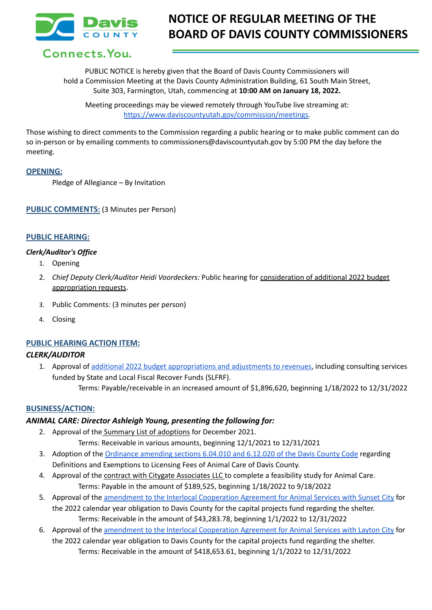

# **NOTICE OF REGULAR MEETING OF THE BOARD OF DAVIS COUNTY COMMISSIONERS**

## Connects. You.

PUBLIC NOTICE is hereby given that the Board of Davis County Commissioners will hold a Commission Meeting at the Davis County Administration Building, 61 South Main Street, Suite 303, Farmington, Utah, commencing at **10:00 AM on January 18, 2022.**

Meeting proceedings may be viewed remotely through YouTube live streaming at: [https://www.daviscountyutah.gov/commission/meetings.](https://www.daviscountyutah.gov/commission/meetings)

Those wishing to direct comments to the Commission regarding a public hearing or to make public comment can do so in-person or by emailing comments to commissioners@daviscountyutah.gov by 5:00 PM the day before the meeting.

## **OPENING:**

Pledge of Allegiance – By Invitation

**PUBLIC COMMENTS:** (3 Minutes per Person)

## **PUBLIC HEARING:**

### *Clerk/Auditor's Office*

- 1. Opening
- 2. *Chief Deputy Clerk/Auditor Heidi Voordeckers:* Public hearing for consideration of additional 2022 budget appropriation requests.
- 3. Public Comments: (3 minutes per person)
- 4. Closing

### **PUBLIC HEARING ACTION ITEM:**

### *CLERK/AUDITOR*

- 1. Approval of additional 2022 budget [appropriations](https://drive.google.com/file/d/1qXS2TKoOA112_sMnh7Sh5zdwz_q7cpKd/view?usp=sharing) and adjustments to revenues, including consulting services funded by State and Local Fiscal Recover Funds (SLFRF).
	- Terms: Payable/receivable in an increased amount of \$1,896,620, beginning 1/18/2022 to 12/31/2022

## **BUSINESS/ACTION:**

### *ANIMAL CARE: Director Ashleigh Young, presenting the following for:*

- 2. Approval of the Summary List of adoptions for December 2021. Terms: Receivable in various amounts, beginning 12/1/2021 to 12/31/2021
- 3. Adoption of the [Ordinance](https://drive.google.com/file/d/1rUdrj79AoZsfPGuTYSYwnFDdKNbXY_Hf/view?usp=sharing) amending sections 6.04.010 and 6.12.020 of the Davis County Code regarding Definitions and Exemptions to Licensing Fees of Animal Care of Davis County.
- 4. Approval of the contract with Citygate Associates LLC to complete a feasibility study for Animal Care. Terms: Payable in the amount of \$189,525, beginning 1/18/2022 to 9/18/2022
- 5. Approval of the amendment to the Interlocal [Cooperation](https://drive.google.com/file/d/1zMufG7IKcppFDFC-XpFD4xYIpwMzwn44/view?usp=sharing) Agreement for Animal Services with Sunset City for the 2022 calendar year obligation to Davis County for the capital projects fund regarding the shelter. Terms: Receivable in the amount of \$43,283.78, beginning 1/1/2022 to 12/31/2022
- 6. Approval of the amendment to the Interlocal [Cooperation](https://drive.google.com/file/d/1CzYdGyHopM_eTGij0aSD1JRuAOQXeGt2/view?usp=sharing) Agreement for Animal Services with Layton City for the 2022 calendar year obligation to Davis County for the capital projects fund regarding the shelter. Terms: Receivable in the amount of \$418,653.61, beginning 1/1/2022 to 12/31/2022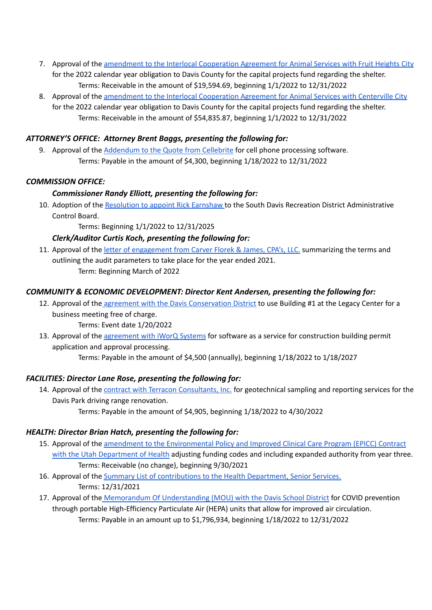- 7. Approval of the amendment to the Interlocal [Cooperation](https://drive.google.com/file/d/1ZORtTQ1mFlCdCYONbSzrVCen84UZ3t1i/view?usp=sharing) Agreement for Animal Services with Fruit Heights City for the 2022 calendar year obligation to Davis County for the capital projects fund regarding the shelter. Terms: Receivable in the amount of \$19,594.69, beginning 1/1/2022 to 12/31/2022
- 8. Approval of the amendment to the Interlocal [Cooperation](https://drive.google.com/file/d/1w56rPmAUf7d26_t1cD3pKHHVqzfdWgd9/view?usp=sharing) Agreement for Animal Services with Centerville City for the 2022 calendar year obligation to Davis County for the capital projects fund regarding the shelter. Terms: Receivable in the amount of \$54,835.87, beginning 1/1/2022 to 12/31/2022

## *ATTORNEY'S OFFICE: Attorney Brent Baggs, presenting the following for:*

9. Approval of the [Addendum](https://drive.google.com/file/d/1AkV_ys79uYyGZ_Lb4om41afDhmMO1xe_/view?usp=sharing) to the Quote from Cellebrite for cell phone processing software. Terms: Payable in the amount of \$4,300, beginning 1/18/2022 to 12/31/2022

## *COMMISSION OFFICE:*

## *Commissioner Randy Elliott, presenting the following for:*

10. Adoption of the [Resolution](https://drive.google.com/file/d/1qUwFULmflY3CvibDP9jPSGXeNLt05xSj/view?usp=sharing) to appoint Rick Earnshaw to the South Davis Recreation District Administrative Control Board.

Terms: Beginning 1/1/2022 to 12/31/2025

## *Clerk/Auditor Curtis Koch, presenting the following for:*

11. Approval of the letter of [engagement](https://drive.google.com/file/d/1U1IyyuiWVMtWDDjEPGrSCQLkkMOegcMe/view?usp=sharing) from Carver Florek & James, CPA's, LLC. summarizing the terms and outlining the audit parameters to take place for the year ended 2021. Term: Beginning March of 2022

## *COMMUNITY & ECONOMIC DEVELOPMENT: Director Kent Andersen, presenting the following for:*

- 12. Approval of the agreement with the Davis [Conservation](https://drive.google.com/file/d/1V_FSq3or9evYq12CIZt5JEPfnxGQsJSU/view?usp=sharing) District to use Building #1 at the Legacy Center for a business meeting free of charge.
	- Terms: Event date 1/20/2022
- 13. Approval of the [agreement](https://drive.google.com/file/d/1T4nkxLF2_sfvdB2SobvwtcsH1O4CGEkd/view?usp=sharing) with iWorQ Systems for software as a service for construction building permit application and approval processing. Terms: Payable in the amount of \$4,500 (annually), beginning 1/18/2022 to 1/18/2027

## *FACILITIES: Director Lane Rose, presenting the following for:*

- 14. Approval of the contract with Terracon [Consultants,](https://drive.google.com/file/d/1lhoAJjv17iq7jso11T7D1LIqdYycfI6D/view?usp=sharing) Inc. for geotechnical sampling and reporting services for the Davis Park driving range renovation.
	- Terms: Payable in the amount of \$4,905, beginning 1/18/2022 to 4/30/2022

## *HEALTH: Director Brian Hatch, presenting the following for:*

- 15. Approval of the amendment to the [Environmental](https://drive.google.com/file/d/1NBcTb2SEcwGchjZm0hvzY16I9Di2X9e1/view?usp=sharing) Policy and Improved Clinical Care Program (EPICC) Contract with the Utah [Department](https://drive.google.com/file/d/1NBcTb2SEcwGchjZm0hvzY16I9Di2X9e1/view?usp=sharing) of Health adjusting funding codes and including expanded authority from year three. Terms: Receivable (no change), beginning 9/30/2021
- 16. Approval of the Summary List of [contributions](https://drive.google.com/file/d/1RgrAtZWVMWaGkdDmSV4TGDeq2YUgxulH/view?usp=sharing) to the Health Department, Senior Services. Terms: 12/31/2021
- 17. Approval of the Memorandum Of [Understanding](https://drive.google.com/file/d/1KRN4CVCjM_NvWCFHMJa6iE5oilzv3Lrd/view?usp=sharing) (MOU) with the Davis School District for COVID prevention through portable High-Efficiency Particulate Air (HEPA) units that allow for improved air circulation. Terms: Payable in an amount up to \$1,796,934, beginning 1/18/2022 to 12/31/2022